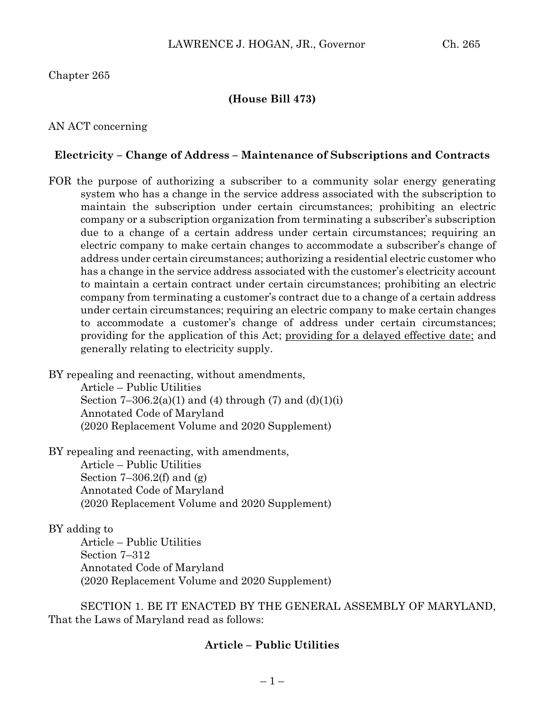## Chapter 265

## **(House Bill 473)**

#### AN ACT concerning

### **Electricity – Change of Address – Maintenance of Subscriptions and Contracts**

FOR the purpose of authorizing a subscriber to a community solar energy generating system who has a change in the service address associated with the subscription to maintain the subscription under certain circumstances; prohibiting an electric company or a subscription organization from terminating a subscriber's subscription due to a change of a certain address under certain circumstances; requiring an electric company to make certain changes to accommodate a subscriber's change of address under certain circumstances; authorizing a residential electric customer who has a change in the service address associated with the customer's electricity account to maintain a certain contract under certain circumstances; prohibiting an electric company from terminating a customer's contract due to a change of a certain address under certain circumstances; requiring an electric company to make certain changes to accommodate a customer's change of address under certain circumstances; providing for the application of this Act; providing for a delayed effective date; and generally relating to electricity supply.

BY repealing and reenacting, without amendments, Article – Public Utilities Section  $7-306.2(a)(1)$  and (4) through (7) and (d)(1)(i) Annotated Code of Maryland (2020 Replacement Volume and 2020 Supplement)

BY repealing and reenacting, with amendments, Article – Public Utilities Section  $7-306.2(f)$  and  $(g)$ Annotated Code of Maryland (2020 Replacement Volume and 2020 Supplement)

#### BY adding to

Article – Public Utilities Section 7–312 Annotated Code of Maryland (2020 Replacement Volume and 2020 Supplement)

SECTION 1. BE IT ENACTED BY THE GENERAL ASSEMBLY OF MARYLAND, That the Laws of Maryland read as follows:

#### **Article – Public Utilities**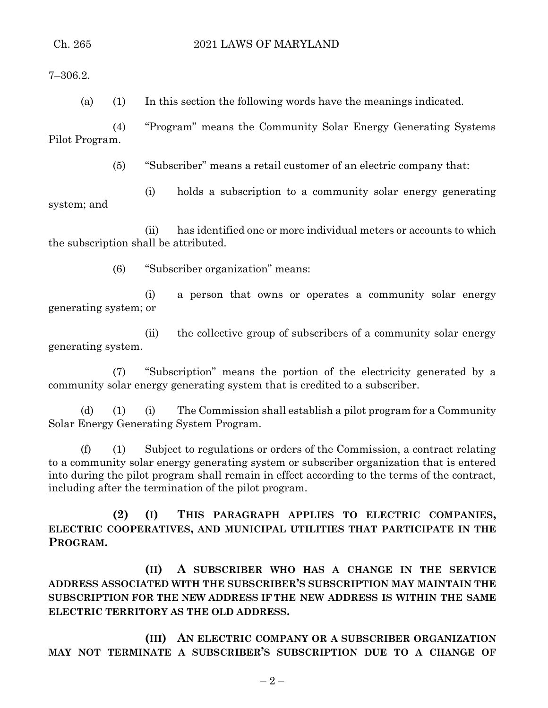7–306.2.

(a) (1) In this section the following words have the meanings indicated.

(4) "Program" means the Community Solar Energy Generating Systems Pilot Program.

(5) "Subscriber" means a retail customer of an electric company that:

(i) holds a subscription to a community solar energy generating system; and

(ii) has identified one or more individual meters or accounts to which the subscription shall be attributed.

(6) "Subscriber organization" means:

(i) a person that owns or operates a community solar energy generating system; or

(ii) the collective group of subscribers of a community solar energy generating system.

(7) "Subscription" means the portion of the electricity generated by a community solar energy generating system that is credited to a subscriber.

(d) (1) (i) The Commission shall establish a pilot program for a Community Solar Energy Generating System Program.

(f) (1) Subject to regulations or orders of the Commission, a contract relating to a community solar energy generating system or subscriber organization that is entered into during the pilot program shall remain in effect according to the terms of the contract, including after the termination of the pilot program.

**(2) (I) THIS PARAGRAPH APPLIES TO ELECTRIC COMPANIES, ELECTRIC COOPERATIVES, AND MUNICIPAL UTILITIES THAT PARTICIPATE IN THE PROGRAM.**

**(II) A SUBSCRIBER WHO HAS A CHANGE IN THE SERVICE ADDRESS ASSOCIATED WITH THE SUBSCRIBER'S SUBSCRIPTION MAY MAINTAIN THE SUBSCRIPTION FOR THE NEW ADDRESS IF THE NEW ADDRESS IS WITHIN THE SAME ELECTRIC TERRITORY AS THE OLD ADDRESS.**

**(III) AN ELECTRIC COMPANY OR A SUBSCRIBER ORGANIZATION MAY NOT TERMINATE A SUBSCRIBER'S SUBSCRIPTION DUE TO A CHANGE OF**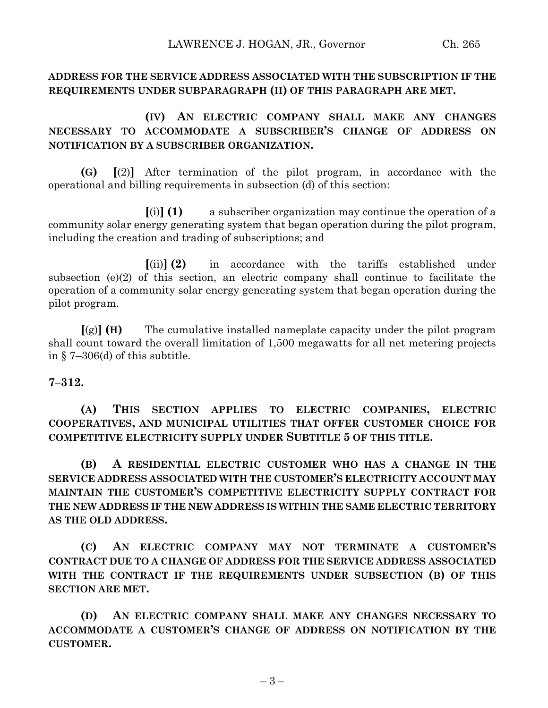# **ADDRESS FOR THE SERVICE ADDRESS ASSOCIATED WITH THE SUBSCRIPTION IF THE REQUIREMENTS UNDER SUBPARAGRAPH (II) OF THIS PARAGRAPH ARE MET.**

# **(IV) AN ELECTRIC COMPANY SHALL MAKE ANY CHANGES NECESSARY TO ACCOMMODATE A SUBSCRIBER'S CHANGE OF ADDRESS ON NOTIFICATION BY A SUBSCRIBER ORGANIZATION.**

**(G) [**(2)**]** After termination of the pilot program, in accordance with the operational and billing requirements in subsection (d) of this section:

**[**(i)**] (1)** a subscriber organization may continue the operation of a community solar energy generating system that began operation during the pilot program, including the creation and trading of subscriptions; and

**[**(ii)**] (2)** in accordance with the tariffs established under subsection (e)(2) of this section, an electric company shall continue to facilitate the operation of a community solar energy generating system that began operation during the pilot program.

**[**(g)**] (H)** The cumulative installed nameplate capacity under the pilot program shall count toward the overall limitation of 1,500 megawatts for all net metering projects in § 7–306(d) of this subtitle.

**7–312.**

**(A) THIS SECTION APPLIES TO ELECTRIC COMPANIES, ELECTRIC COOPERATIVES, AND MUNICIPAL UTILITIES THAT OFFER CUSTOMER CHOICE FOR COMPETITIVE ELECTRICITY SUPPLY UNDER SUBTITLE 5 OF THIS TITLE.**

**(B) A RESIDENTIAL ELECTRIC CUSTOMER WHO HAS A CHANGE IN THE SERVICE ADDRESS ASSOCIATED WITH THE CUSTOMER'S ELECTRICITY ACCOUNT MAY MAINTAIN THE CUSTOMER'S COMPETITIVE ELECTRICITY SUPPLY CONTRACT FOR THE NEW ADDRESS IF THE NEW ADDRESS IS WITHIN THE SAME ELECTRIC TERRITORY AS THE OLD ADDRESS.**

**(C) AN ELECTRIC COMPANY MAY NOT TERMINATE A CUSTOMER'S CONTRACT DUE TO A CHANGE OF ADDRESS FOR THE SERVICE ADDRESS ASSOCIATED WITH THE CONTRACT IF THE REQUIREMENTS UNDER SUBSECTION (B) OF THIS SECTION ARE MET.**

**(D) AN ELECTRIC COMPANY SHALL MAKE ANY CHANGES NECESSARY TO ACCOMMODATE A CUSTOMER'S CHANGE OF ADDRESS ON NOTIFICATION BY THE CUSTOMER.**